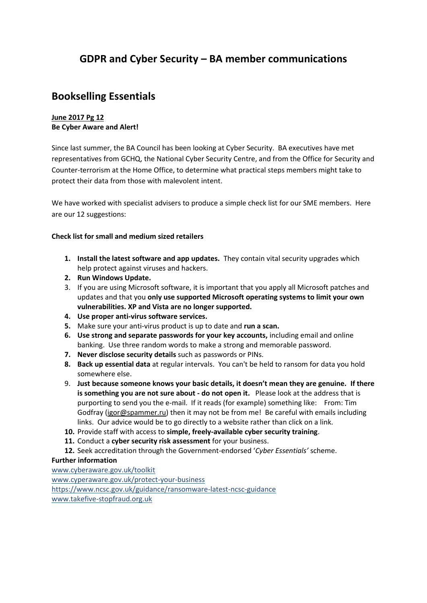# **GDPR and Cyber Security – BA member communications**

# **Bookselling Essentials**

### **June 2017 Pg 12 Be Cyber Aware and Alert!**

Since last summer, the BA Council has been looking at Cyber Security. BA executives have met representatives from GCHQ, the National Cyber Security Centre, and from the Office for Security and Counter-terrorism at the Home Office, to determine what practical steps members might take to protect their data from those with malevolent intent.

We have worked with specialist advisers to produce a simple check list for our SME members. Here are our 12 suggestions:

### **Check list for small and medium sized retailers**

- **1. Install the latest software and app updates.** They contain vital security upgrades which help protect against viruses and hackers.
- **2. Run Windows Update.**
- 3. If you are using Microsoft software, it is important that you apply all Microsoft patches and updates and that you **only use supported Microsoft operating systems to limit your own vulnerabilities. XP and Vista are no longer supported.**
- **4. Use proper anti-virus software services.**
- **5.** Make sure your anti-virus product is up to date and **run a scan.**
- **6. Use strong and separate passwords for your key accounts,** including email and online banking. Use three random words to make a strong and memorable password.
- **7. Never disclose security details** such as passwords or PINs.
- **8. Back up essential data** at regular intervals. You can't be held to ransom for data you hold somewhere else.
- 9. **Just because someone knows your basic details, it doesn't mean they are genuine. If there is something you are not sure about - do not open it.** Please look at the address that is purporting to send you the e-mail. If it reads (for example) something like: From: Tim Godfray [\(igor@spammer.ru\)](mailto:igor@spammer.ru) then it may not be from me! Be careful with emails including links. Our advice would be to go directly to a website rather than click on a link.
- **10.** Provide staff with access to **simple, freely-available cyber security training**.
- **11.** Conduct a **cyber security risk assessment** for your business.
- **12.** Seek accreditation through the Government-endorsed '*Cyber Essentials'* scheme.

#### **Further information**

[www.cyberaware.gov.uk/toolkit](http://www.cyberaware.gov.uk/toolkit) [www.cyperaware.gov.uk/protect-your-business](http://www.cyperaware.gov.uk/protect-your-business) [https://www.ncsc.gov.uk/guidance/ransomware-latest-ncsc-guidance](http://elink-eu.azuresend.com/l/456c85fe40f041da8fa7b67bfa7e9230/6FEA7DD2/FDC53CEA/052017n)  [www.takefive-stopfraud.org.uk](http://www.takefive-stopfraud.org.uk/)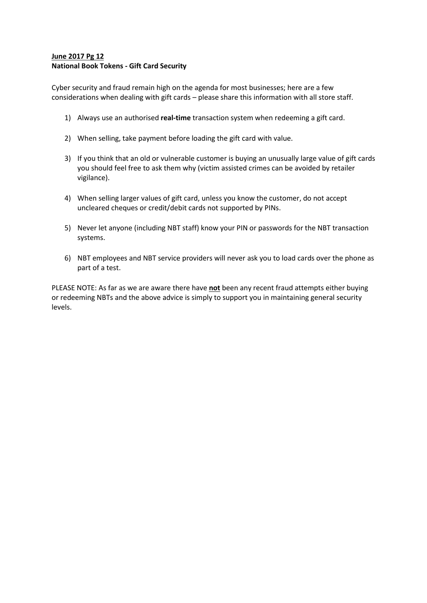#### **June 2017 Pg 12 National Book Tokens - Gift Card Security**

Cyber security and fraud remain high on the agenda for most businesses; here are a few considerations when dealing with gift cards – please share this information with all store staff.

- 1) Always use an authorised **real-time** transaction system when redeeming a gift card.
- 2) When selling, take payment before loading the gift card with value.
- 3) If you think that an old or vulnerable customer is buying an unusually large value of gift cards you should feel free to ask them why (victim assisted crimes can be avoided by retailer vigilance).
- 4) When selling larger values of gift card, unless you know the customer, do not accept uncleared cheques or credit/debit cards not supported by PINs.
- 5) Never let anyone (including NBT staff) know your PIN or passwords for the NBT transaction systems.
- 6) NBT employees and NBT service providers will never ask you to load cards over the phone as part of a test.

PLEASE NOTE: As far as we are aware there have **not** been any recent fraud attempts either buying or redeeming NBTs and the above advice is simply to support you in maintaining general security levels.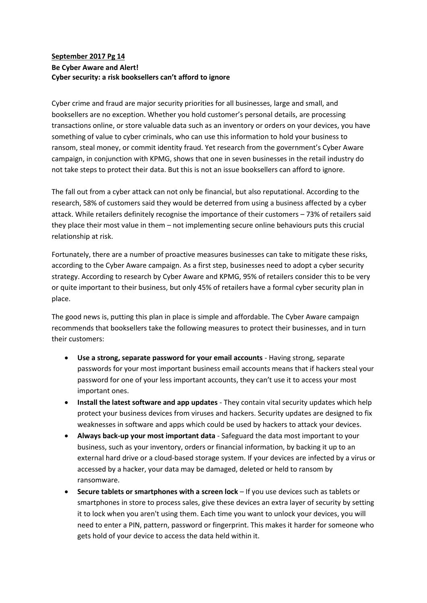### **September 2017 Pg 14 Be Cyber Aware and Alert! Cyber security: a risk booksellers can't afford to ignore**

Cyber crime and fraud are major security priorities for all businesses, large and small, and booksellers are no exception. Whether you hold customer's personal details, are processing transactions online, or store valuable data such as an inventory or orders on your devices, you have something of value to cyber criminals, who can use this information to hold your business to ransom, steal money, or commit identity fraud. Yet research from the government's Cyber Aware campaign, in conjunction with KPMG, shows that one in seven businesses in the retail industry do not take steps to protect their data. But this is not an issue booksellers can afford to ignore.

The fall out from a cyber attack can not only be financial, but also reputational. According to the research, 58% of customers said they would be deterred from using a business affected by a cyber attack. While retailers definitely recognise the importance of their customers – 73% of retailers said they place their most value in them – not implementing secure online behaviours puts this crucial relationship at risk.

Fortunately, there are a number of proactive measures businesses can take to mitigate these risks, according to the Cyber Aware campaign. As a first step, businesses need to adopt a cyber security strategy. According to research by Cyber Aware and KPMG, 95% of retailers consider this to be very or quite important to their business, but only 45% of retailers have a formal cyber security plan in place.

The good news is, putting this plan in place is simple and affordable. The Cyber Aware campaign recommends that booksellers take the following measures to protect their businesses, and in turn their customers:

- **Use a strong, separate password for your email accounts** Having strong, separate passwords for your most important business email accounts means that if hackers steal your password for one of your less important accounts, they can't use it to access your most important ones.
- **Install the latest software and app updates** They contain vital security updates which help protect your business devices from viruses and hackers. Security updates are designed to fix weaknesses in software and apps which could be used by hackers to attack your devices.
- **Always back-up your most important data** Safeguard the data most important to your business, such as your inventory, orders or financial information, by backing it up to an external hard drive or a cloud-based storage system. If your devices are infected by a virus or accessed by a hacker, your data may be damaged, deleted or held to ransom by ransomware.
- **Secure tablets or smartphones with a screen lock** If you use devices such as tablets or smartphones in store to process sales, give these devices an extra layer of security by setting it to lock when you aren't using them. Each time you want to unlock your devices, you will need to enter a PIN, pattern, password or fingerprint. This makes it harder for someone who gets hold of your device to access the data held within it.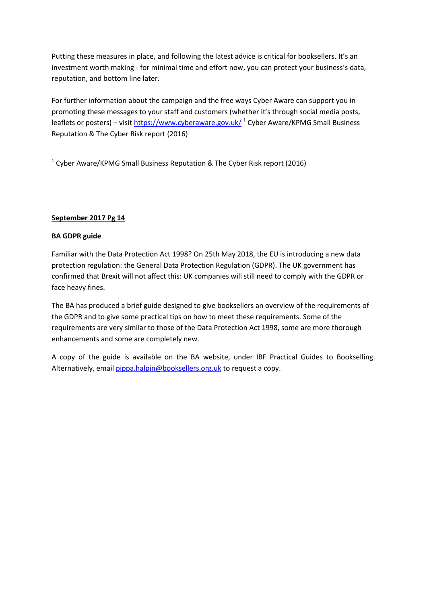Putting these measures in place, and following the latest advice is critical for booksellers. It's an investment worth making - for minimal time and effort now, you can protect your business's data, reputation, and bottom line later.

For further information about the campaign and the free ways Cyber Aware can support you in promoting these messages to your staff and customers (whether it's through social media posts, leaflets or posters) – visi[t https://www.cyberaware.gov.uk/](https://www.cyberaware.gov.uk/) <sup>1</sup> Cyber Aware/KPMG Small Business Reputation & The Cyber Risk report (2016)

 $1$  Cyber Aware/KPMG Small Business Reputation & The Cyber Risk report (2016)

### **September 2017 Pg 14**

### **BA GDPR guide**

Familiar with the Data Protection Act 1998? On 25th May 2018, the EU is introducing a new data protection regulation: the General Data Protection Regulation (GDPR). The UK government has confirmed that Brexit will not affect this: UK companies will still need to comply with the GDPR or face heavy fines.

The BA has produced a brief guide designed to give booksellers an overview of the requirements of the GDPR and to give some practical tips on how to meet these requirements. Some of the requirements are very similar to those of the Data Protection Act 1998, some are more thorough enhancements and some are completely new.

A copy of the guide is available on the BA website, under IBF Practical Guides to Bookselling. Alternatively, emai[l pippa.halpin@booksellers.org.uk](mailto:pippa.halpin@booksellers.org.uk) to request a copy.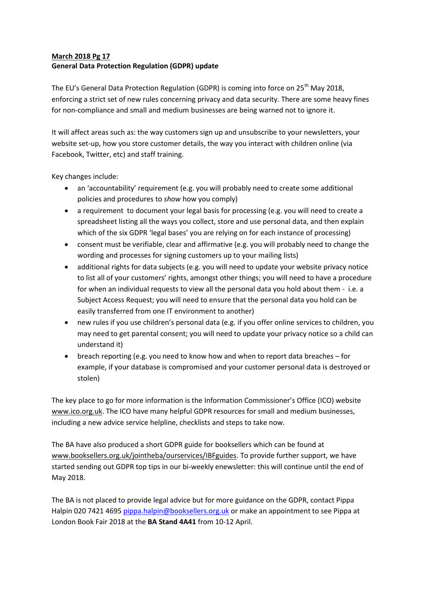### **March 2018 Pg 17 General Data Protection Regulation (GDPR) update**

The EU's General Data Protection Regulation (GDPR) is coming into force on 25<sup>th</sup> May 2018, enforcing a strict set of new rules concerning privacy and data security. There are some heavy fines for non-compliance and small and medium businesses are being warned not to ignore it.

It will affect areas such as: the way customers sign up and unsubscribe to your newsletters, your website set-up, how you store customer details, the way you interact with children online (via Facebook, Twitter, etc) and staff training.

Key changes include:

- an 'accountability' requirement (e.g. you will probably need to create some additional policies and procedures to *show* how you comply)
- a requirement to document your legal basis for processing (e.g. you will need to create a spreadsheet listing all the ways you collect, store and use personal data, and then explain which of the six GDPR 'legal bases' you are relying on for each instance of processing)
- consent must be verifiable, clear and affirmative (e.g. you will probably need to change the wording and processes for signing customers up to your mailing lists)
- additional rights for data subjects (e.g. you will need to update your website privacy notice to list all of your customers' rights, amongst other things; you will need to have a procedure for when an individual requests to view all the personal data you hold about them - i.e. a Subject Access Request; you will need to ensure that the personal data you hold can be easily transferred from one IT environment to another)
- new rules if you use children's personal data (e.g. if you offer online services to children, you may need to get parental consent; you will need to update your privacy notice so a child can understand it)
- breach reporting (e.g. you need to know how and when to report data breaches for example, if your database is compromised and your customer personal data is destroyed or stolen)

The key place to go for more information is the Information Commissioner's Office (ICO) website [www.ico.org.uk.](http://www.ico.org.uk/) The ICO have many helpful GDPR resources for small and medium businesses, including a new advice service helpline, checklists and steps to take now.

The BA have also produced a short GDPR guide for booksellers which can be found at [www.booksellers.org.uk/jointheba/ourservices/IBFguides.](http://www.booksellers.org.uk/jointheba/ourservices/IBFguides) To provide further support, we have started sending out GDPR top tips in our bi-weekly enewsletter: this will continue until the end of May 2018.

The BA is not placed to provide legal advice but for more guidance on the GDPR, contact Pippa Halpin 020 7421 4695 [pippa.halpin@booksellers.org.uk](mailto:pippa.halpin@booksellers.org.uk) or make an appointment to see Pippa at London Book Fair 2018 at the **BA Stand 4A41** from 10-12 April.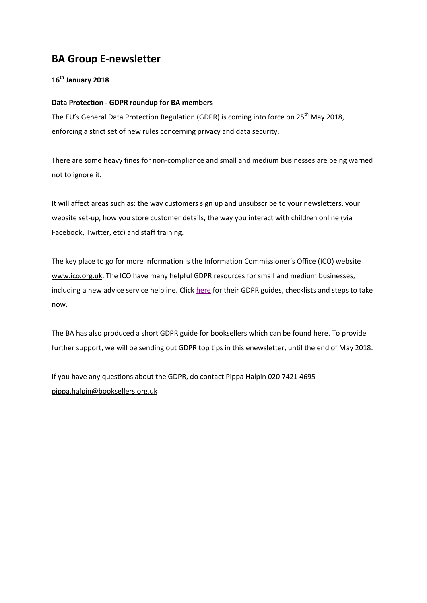# **BA Group E-newsletter**

## **16th January 2018**

#### **Data Protection - GDPR roundup for BA members**

The EU's General Data Protection Regulation (GDPR) is coming into force on 25<sup>th</sup> May 2018, enforcing a strict set of new rules concerning privacy and data security.

There are some heavy fines for non-compliance and small and medium businesses are being warned not to ignore it.

It will affect areas such as: the way customers sign up and unsubscribe to your newsletters, your website set-up, how you store customer details, the way you interact with children online (via Facebook, Twitter, etc) and staff training.

The key place to go for more information is the Information Commissioner's Office (ICO) website [www.ico.org.uk.](https://booksellers.us6.list-manage.com/track/click?u=6266dfc8226f320f493654a80&id=614cd555fb&e=9397e72b5b) The ICO have many helpful GDPR resources for small and medium businesses, including a new advice service helpline. Clic[k here](https://booksellers.us6.list-manage.com/track/click?u=6266dfc8226f320f493654a80&id=f4e703fdfd&e=9397e72b5b) for their GDPR guides, checklists and steps to take now.

The BA has also produced a short GDPR guide for booksellers which can be found [here.](https://booksellers.us6.list-manage.com/track/click?u=6266dfc8226f320f493654a80&id=d9e3a2b6b9&e=9397e72b5b) To provide further support, we will be sending out GDPR top tips in this enewsletter, until the end of May 2018.

If you have any questions about the GDPR, do contact Pippa Halpin 020 7421 4695 [pippa.halpin@booksellers.org.uk](mailto:pippa.halpin@booksellers.org.uk)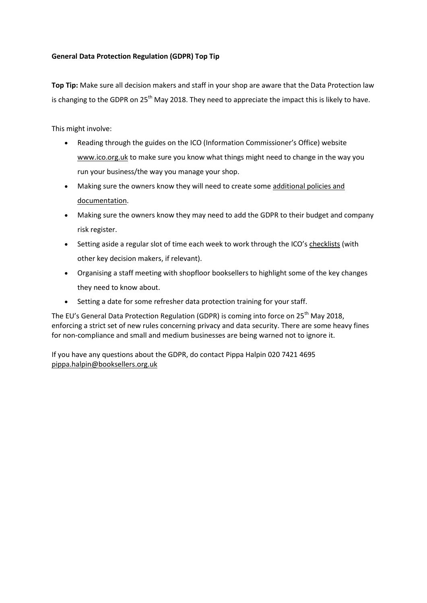### **General Data Protection Regulation (GDPR) Top Tip**

**Top Tip:** Make sure all decision makers and staff in your shop are aware that the Data Protection law is changing to the GDPR on 25<sup>th</sup> May 2018. They need to appreciate the impact this is likely to have.

This might involve:

- Reading through the guides on the ICO (Information Commissioner's Office) website [www.ico.org.uk](https://booksellers.us6.list-manage.com/track/click?u=6266dfc8226f320f493654a80&id=19ff0a9aae&e=9397e72b5b) to make sure you know what things might need to change in the way you run your business/the way you manage your shop.
- Making sure the owners know they will need to create som[e additional policies and](https://booksellers.us6.list-manage.com/track/click?u=6266dfc8226f320f493654a80&id=b5c3fbc12d&e=9397e72b5b)  [documentation.](https://booksellers.us6.list-manage.com/track/click?u=6266dfc8226f320f493654a80&id=b5c3fbc12d&e=9397e72b5b)
- Making sure the owners know they may need to add the GDPR to their budget and company risk register.
- Setting aside a regular slot of time each week to work through the ICO's [checklists](https://booksellers.us6.list-manage.com/track/click?u=6266dfc8226f320f493654a80&id=f142194902&e=9397e72b5b) (with other key decision makers, if relevant).
- Organising a staff meeting with shopfloor booksellers to highlight some of the key changes they need to know about.
- Setting a date for some refresher data protection training for your staff.

The EU's General Data Protection Regulation (GDPR) is coming into force on  $25<sup>th</sup>$  May 2018, enforcing a strict set of new rules concerning privacy and data security. There are some heavy fines for non-compliance and small and medium businesses are being warned not to ignore it.

If you have any questions about the GDPR, do contact Pippa Halpin 020 7421 4695 [pippa.halpin@booksellers.org.uk](mailto:pippa.halpin@booksellers.org.uk)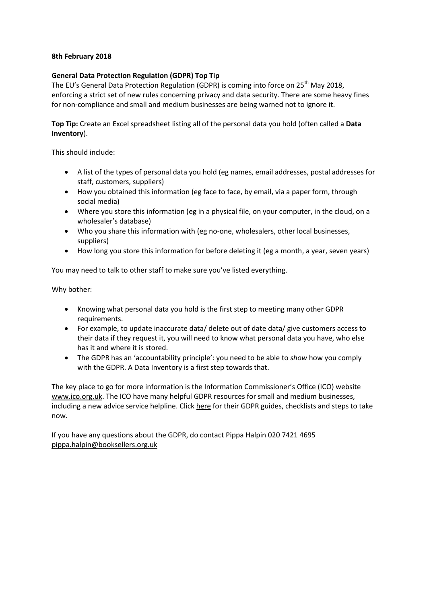### **8th February 2018**

#### **General Data Protection Regulation (GDPR) Top Tip**

The EU's General Data Protection Regulation (GDPR) is coming into force on 25<sup>th</sup> May 2018, enforcing a strict set of new rules concerning privacy and data security. There are some heavy fines for non-compliance and small and medium businesses are being warned not to ignore it.

**Top Tip:** Create an Excel spreadsheet listing all of the personal data you hold (often called a **Data Inventory**).

This should include:

- A list of the types of personal data you hold (eg names, email addresses, postal addresses for staff, customers, suppliers)
- How you obtained this information (eg face to face, by email, via a paper form, through social media)
- Where you store this information (eg in a physical file, on your computer, in the cloud, on a wholesaler's database)
- Who you share this information with (eg no-one, wholesalers, other local businesses, suppliers)
- How long you store this information for before deleting it (eg a month, a year, seven years)

You may need to talk to other staff to make sure you've listed everything.

Why bother:

- Knowing what personal data you hold is the first step to meeting many other GDPR requirements.
- For example, to update inaccurate data/ delete out of date data/ give customers access to their data if they request it, you will need to know what personal data you have, who else has it and where it is stored.
- The GDPR has an 'accountability principle': you need to be able to *show* how you comply with the GDPR. A Data Inventory is a first step towards that.

The key place to go for more information is the Information Commissioner's Office (ICO) website [www.ico.org.uk.](https://booksellers.us6.list-manage.com/track/click?u=6266dfc8226f320f493654a80&id=0c52364142&e=9397e72b5b) The ICO have many helpful GDPR resources for small and medium businesses, including a new advice service helpline. Clic[k here](https://booksellers.us6.list-manage.com/track/click?u=6266dfc8226f320f493654a80&id=e7b94b8c7e&e=9397e72b5b) for their GDPR guides, checklists and steps to take now.

If you have any questions about the GDPR, do contact Pippa Halpin 020 7421 4695 [pippa.halpin@booksellers.org.uk](mailto:pippa.halpin@booksellers.org.uk)